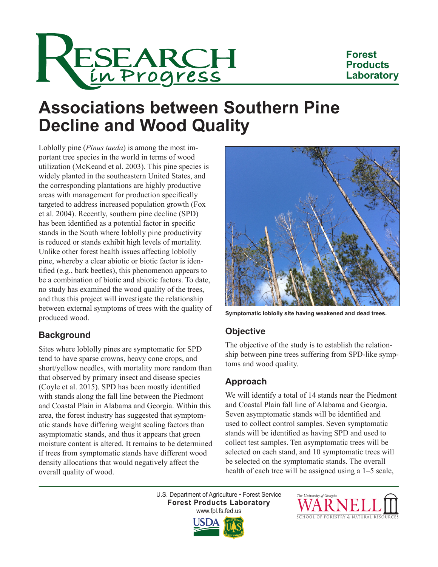

## **Forest Products Laboratory**

# **Associations between Southern Pine Decline and Wood Quality**

Loblolly pine (*Pinus taeda*) is among the most important tree species in the world in terms of wood utilization (McKeand et al. 2003). This pine species is widely planted in the southeastern United States, and the corresponding plantations are highly productive areas with management for production specifically targeted to address increased population growth (Fox et al. 2004). Recently, southern pine decline (SPD) has been identified as a potential factor in specific stands in the South where loblolly pine productivity is reduced or stands exhibit high levels of mortality. Unlike other forest health issues affecting loblolly pine, whereby a clear abiotic or biotic factor is identified (e.g., bark beetles), this phenomenon appears to be a combination of biotic and abiotic factors. To date, no study has examined the wood quality of the trees, and thus this project will investigate the relationship between external symptoms of trees with the quality of produced wood.

# **Background**

Sites where loblolly pines are symptomatic for SPD tend to have sparse crowns, heavy cone crops, and short/yellow needles, with mortality more random than that observed by primary insect and disease species (Coyle et al. 2015). SPD has been mostly identified with stands along the fall line between the Piedmont and Coastal Plain in Alabama and Georgia. Within this area, the forest industry has suggested that symptomatic stands have differing weight scaling factors than asymptomatic stands, and thus it appears that green moisture content is altered. It remains to be determined if trees from symptomatic stands have different wood density allocations that would negatively affect the overall quality of wood.



**Symptomatic loblolly site having weakened and dead trees.**

## **Objective**

The objective of the study is to establish the relationship between pine trees suffering from SPD-like symptoms and wood quality.

# **Approach**

We will identify a total of 14 stands near the Piedmont and Coastal Plain fall line of Alabama and Georgia. Seven asymptomatic stands will be identified and used to collect control samples. Seven symptomatic stands will be identified as having SPD and used to collect test samples. Ten asymptomatic trees will be selected on each stand, and 10 symptomatic trees will be selected on the symptomatic stands. The overall health of each tree will be assigned using a 1–5 scale,

U.S. Department of Agriculture • Forest Service **Forest Products Laboratory** www.fpl.fs.fed.us